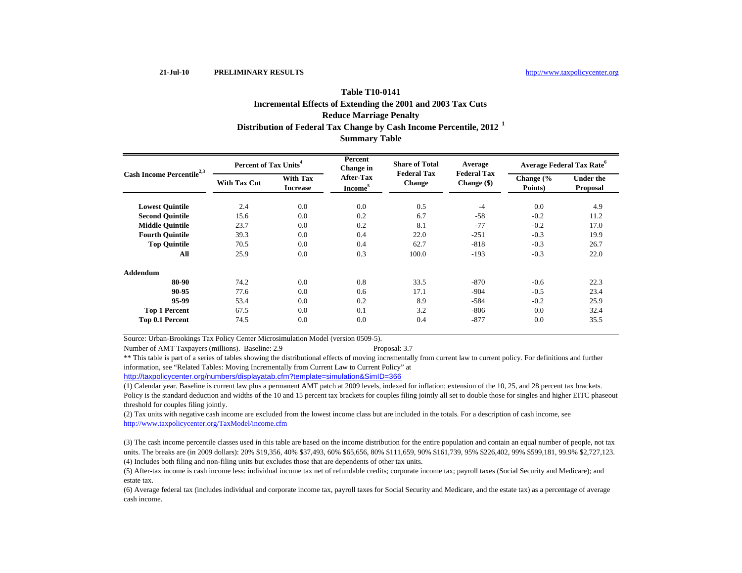# **Summary Table Reduce Marriage Penalty Distribution of Federal Tax Change by Cash Income Percentile, 2012 <sup>1</sup> Table T10-0141Incremental Effects of Extending the 2001 and 2003 Tax Cuts**

| Cash Income Percentile <sup>2,3</sup> | Percent of Tax Units <sup>4</sup> |                                    | Percent<br>Change in             | <b>Share of Total</b>               | Average                             | <b>Average Federal Tax Rate<sup>o</sup></b> |                                     |  |
|---------------------------------------|-----------------------------------|------------------------------------|----------------------------------|-------------------------------------|-------------------------------------|---------------------------------------------|-------------------------------------|--|
|                                       | <b>With Tax Cut</b>               | <b>With Tax</b><br><b>Increase</b> | After-Tax<br>Income <sup>5</sup> | <b>Federal Tax</b><br><b>Change</b> | <b>Federal Tax</b><br>Change $(\$)$ | Change $\frac{6}{6}$<br>Points)             | <b>Under the</b><br><b>Proposal</b> |  |
| <b>Lowest Quintile</b>                | 2.4                               | 0.0                                | 0.0                              | 0.5                                 | $-4$                                | 0.0                                         | 4.9                                 |  |
| <b>Second Ouintile</b>                | 15.6                              | 0.0                                | 0.2                              | 6.7                                 | $-58$                               | $-0.2$                                      | 11.2                                |  |
| <b>Middle Quintile</b>                | 23.7                              | 0.0                                | 0.2                              | 8.1                                 | $-77$                               | $-0.2$                                      | 17.0                                |  |
| <b>Fourth Quintile</b>                | 39.3                              | 0.0                                | 0.4                              | 22.0                                | $-251$                              | $-0.3$                                      | 19.9                                |  |
| <b>Top Ouintile</b>                   | 70.5                              | 0.0                                | 0.4                              | 62.7                                | $-818$                              | $-0.3$                                      | 26.7                                |  |
| All                                   | 25.9                              | 0.0                                | 0.3                              | 100.0                               | $-193$                              | $-0.3$                                      | 22.0                                |  |
| <b>Addendum</b>                       |                                   |                                    |                                  |                                     |                                     |                                             |                                     |  |
| 80-90                                 | 74.2                              | 0.0                                | 0.8                              | 33.5                                | $-870$                              | $-0.6$                                      | 22.3                                |  |
| 90-95                                 | 77.6                              | 0.0                                | 0.6                              | 17.1                                | $-904$                              | $-0.5$                                      | 23.4                                |  |
| 95-99                                 | 53.4                              | 0.0                                | 0.2                              | 8.9                                 | $-584$                              | $-0.2$                                      | 25.9                                |  |
| <b>Top 1 Percent</b>                  | 67.5                              | 0.0                                | 0.1                              | 3.2                                 | $-806$                              | 0.0                                         | 32.4                                |  |
| Top 0.1 Percent                       | 74.5                              | 0.0                                | 0.0                              | 0.4                                 | $-877$                              | 0.0                                         | 35.5                                |  |

Source: Urban-Brookings Tax Policy Center Microsimulation Model (version 0509-5).

Number of AMT Taxpayers (millions). Baseline: 2.9 Proposal: 3.7

\*\* This table is part of a series of tables showing the distributional effects of moving incrementally from current law to current policy. For definitions and further information, see "Related Tables: Moving Incrementally from Current Law to Current Policy" at

http://taxpolicycenter.org/numbers/displayatab.cfm?template=simulation&SimID=366

(1) Calendar year. Baseline is current law plus a permanent AMT patch at 2009 levels, indexed for inflation; extension of the 10, 25, and 28 percent tax brackets. Policy is the standard deduction and widths of the 10 and 15 percent tax brackets for couples filing jointly all set to double those for singles and higher EITC phaseout threshold for couples filing jointly.

(2) Tax units with negative cash income are excluded from the lowest income class but are included in the totals. For a description of cash income, see http://www.taxpolicycenter.org/TaxModel/income.cfm

(4) Includes both filing and non-filing units but excludes those that are dependents of other tax units. (3) The cash income percentile classes used in this table are based on the income distribution for the entire population and contain an equal number of people, not tax units. The breaks are (in 2009 dollars): 20% \$19,356, 40% \$37,493, 60% \$65,656, 80% \$111,659, 90% \$161,739, 95% \$226,402, 99% \$599,181, 99.9% \$2,727,123.

(5) After-tax income is cash income less: individual income tax net of refundable credits; corporate income tax; payroll taxes (Social Security and Medicare); and estate tax.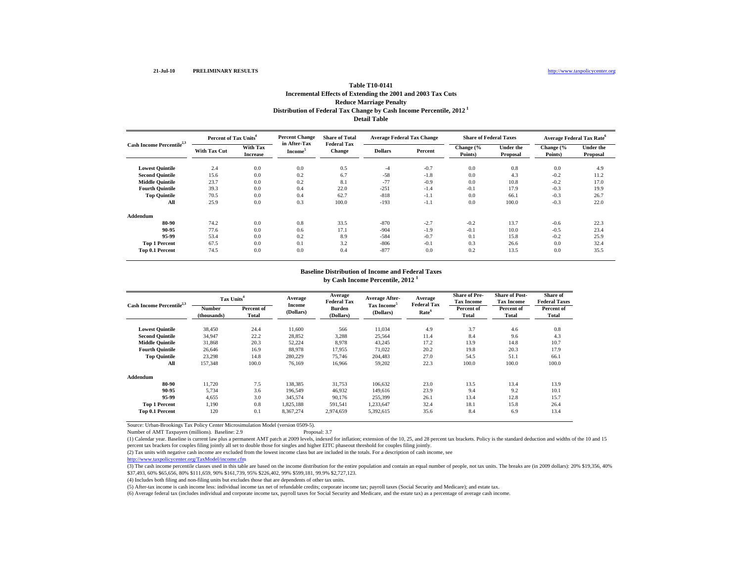# **Table T10-0141Incremental Effects of Extending the 2001 and 2003 Tax Cuts Reduce Marriage Penalty Distribution of Federal Tax Change by Cash Income Percentile, 2012 1 Detail Table**

| Cash Income Percentile <sup>2,3</sup> | Percent of Tax Units <sup>4</sup> |                                    | <b>Percent Change</b><br>in After-Tax | <b>Share of Total</b>               | <b>Average Federal Tax Change</b> |         | <b>Share of Federal Taxes</b> |                              |                      | <b>Average Federal Tax Rate</b> <sup>6</sup> |
|---------------------------------------|-----------------------------------|------------------------------------|---------------------------------------|-------------------------------------|-----------------------------------|---------|-------------------------------|------------------------------|----------------------|----------------------------------------------|
|                                       | <b>With Tax Cut</b>               | <b>With Tax</b><br><b>Increase</b> | Income <sup>3</sup>                   | <b>Federal Tax</b><br><b>Change</b> | <b>Dollars</b>                    | Percent | Change (%<br>Points)          | <b>Under the</b><br>Proposal | Change (%<br>Points) | <b>Under the</b><br>Proposal                 |
| <b>Lowest Quintile</b>                | 2.4                               | 0.0                                | 0.0                                   | 0.5                                 | $-4$                              | $-0.7$  | 0.0                           | 0.8                          | 0.0                  | 4.9                                          |
| <b>Second Quintile</b>                | 15.6                              | 0.0                                | 0.2                                   | 6.7                                 | $-58$                             | $-1.8$  | 0.0                           | 4.3                          | $-0.2$               | 11.2                                         |
| <b>Middle Quintile</b>                | 23.7                              | 0.0                                | 0.2                                   | 8.1                                 | $-77$                             | $-0.9$  | 0.0                           | 10.8                         | $-0.2$               | 17.0                                         |
| <b>Fourth Quintile</b>                | 39.3                              | 0.0                                | 0.4                                   | 22.0                                | $-251$                            | $-1.4$  | $-0.1$                        | 17.9                         | $-0.3$               | 19.9                                         |
| <b>Top Quintile</b>                   | 70.5                              | 0.0                                | 0.4                                   | 62.7                                | $-818$                            | $-1.1$  | 0.0                           | 66.1                         | $-0.3$               | 26.7                                         |
| All                                   | 25.9                              | 0.0                                | 0.3                                   | 100.0                               | $-193$                            | $-1.1$  | 0.0                           | 100.0                        | $-0.3$               | 22.0                                         |
| Addendum                              |                                   |                                    |                                       |                                     |                                   |         |                               |                              |                      |                                              |
| 80-90                                 | 74.2                              | 0.0                                | 0.8                                   | 33.5                                | $-870$                            | $-2.7$  | $-0.2$                        | 13.7                         | $-0.6$               | 22.3                                         |
| 90-95                                 | 77.6                              | 0.0                                | 0.6                                   | 17.1                                | $-904$                            | $-1.9$  | $-0.1$                        | 10.0                         | $-0.5$               | 23.4                                         |
| 95-99                                 | 53.4                              | 0.0                                | 0.2                                   | 8.9                                 | $-584$                            | $-0.7$  | 0.1                           | 15.8                         | $-0.2$               | 25.9                                         |
| <b>Top 1 Percent</b>                  | 67.5                              | 0.0                                | 0.1                                   | 3.2                                 | $-806$                            | $-0.1$  | 0.3                           | 26.6                         | 0.0                  | 32.4                                         |
| Top 0.1 Percent                       | 74.5                              | 0.0                                | 0.0                                   | 0.4                                 | $-877$                            | 0.0     | 0.2                           | 13.5                         | 0.0                  | 35.5                                         |

#### **Baseline Distribution of Income and Federal Taxes**

**by Cash Income Percentile, 2012 <sup>1</sup>**

| Cash Income Percentile <sup>2,3</sup> | Tax Units <sup>4</sup> |                     | Average                    | Average<br><b>Federal Tax</b> | Average After-                       | Average<br><b>Federal Tax</b> | <b>Share of Pre-</b><br><b>Tax Income</b> | <b>Share of Post-</b><br><b>Tax Income</b> | Share of<br><b>Federal Taxes</b> |
|---------------------------------------|------------------------|---------------------|----------------------------|-------------------------------|--------------------------------------|-------------------------------|-------------------------------------------|--------------------------------------------|----------------------------------|
|                                       | Number<br>(thousands)  | Percent of<br>Total | <b>Income</b><br>(Dollars) | Burden<br>(Dollars)           | Tax Income <sup>5</sup><br>(Dollars) | Rate <sup>6</sup>             | Percent of<br>Total                       | Percent of<br>Total                        | Percent of<br>Total              |
| <b>Lowest Quintile</b>                | 38,450                 | 24.4                | 11,600                     | 566                           | 11,034                               | 4.9                           | 3.7                                       | 4.6                                        | 0.8                              |
| <b>Second Quintile</b>                | 34,947                 | 22.2                | 28,852                     | 3,288                         | 25,564                               | 11.4                          | 8.4                                       | 9.6                                        | 4.3                              |
| <b>Middle Quintile</b>                | 31,868                 | 20.3                | 52,224                     | 8.978                         | 43,245                               | 17.2                          | 13.9                                      | 14.8                                       | 10.7                             |
| <b>Fourth Ouintile</b>                | 26,646                 | 16.9                | 88,978                     | 17,955                        | 71,022                               | 20.2                          | 19.8                                      | 20.3                                       | 17.9                             |
| <b>Top Quintile</b>                   | 23,298                 | 14.8                | 280,229                    | 75,746                        | 204.483                              | 27.0                          | 54.5                                      | 51.1                                       | 66.1                             |
| All                                   | 157,348                | 100.0               | 76,169                     | 16,966                        | 59,202                               | 22.3                          | 100.0                                     | 100.0                                      | 100.0                            |
| Addendum                              |                        |                     |                            |                               |                                      |                               |                                           |                                            |                                  |
| 80-90                                 | 11,720                 | 7.5                 | 138,385                    | 31,753                        | 106,632                              | 23.0                          | 13.5                                      | 13.4                                       | 13.9                             |
| 90-95                                 | 5,734                  | 3.6                 | 196,549                    | 46,932                        | 149.616                              | 23.9                          | 9.4                                       | 9.2                                        | 10.1                             |
| 95-99                                 | 4,655                  | 3.0                 | 345,574                    | 90,176                        | 255,399                              | 26.1                          | 13.4                                      | 12.8                                       | 15.7                             |
| <b>Top 1 Percent</b>                  | 1,190                  | 0.8                 | 1,825,188                  | 591,541                       | 1,233,647                            | 32.4                          | 18.1                                      | 15.8                                       | 26.4                             |
| Top 0.1 Percent                       | 120                    | 0.1                 | 8,367,274                  | 2,974,659                     | 5,392,615                            | 35.6                          | 8.4                                       | 6.9                                        | 13.4                             |

Source: Urban-Brookings Tax Policy Center Microsimulation Model (version 0509-5).

Number of AMT Taxpayers (millions). Baseline: 2.9

(1) Calendar year. Baseline is current law plus a permanent AMT patch at 2009 levels, indexed for inflation; extension of the 10, 25, and 28 percent tax brackets. Policy is the standard deduction and widths of the 10 and 15 percent tax brackets for couples filing jointly all set to double those for singles and higher EITC phaseout threshold for couples filing jointly.

(2) Tax units with negative cash income are excluded from the lowest income class but are included in the totals. For a description of cash income, see

http://www.taxpolicycenter.org/TaxModel/income.cfm

(3) The cash income percentile classes used in this table are based on the income distribution for the entire population and contain an equal number of people, not tax units. The breaks are (in 2009 dollars): 20% \$19,356, \$37,493, 60% \$65,656, 80% \$111,659, 90% \$161,739, 95% \$226,402, 99% \$599,181, 99.9% \$2,727,123.

(4) Includes both filing and non-filing units but excludes those that are dependents of other tax units.

(5) After-tax income is cash income less: individual income tax net of refundable credits; corporate income tax; payroll taxes (Social Security and Medicare); and estate tax.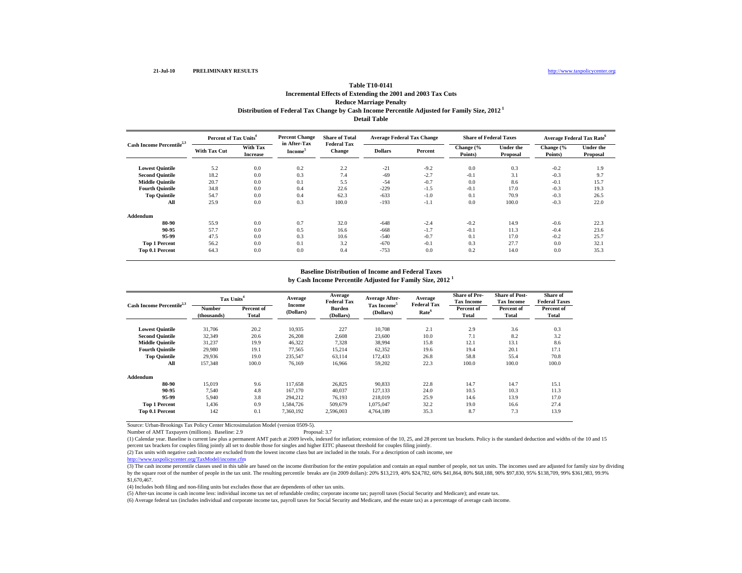# **Table T10-0141Incremental Effects of Extending the 2001 and 2003 Tax Cuts Reduce Marriage Penalty Distribution of Federal Tax Change by Cash Income Percentile Adjusted for Family Size, 2012 1 Detail Table**

| Cash Income Percentile <sup>2,3</sup> | Percent of Tax Units <sup>4</sup> |                             | <b>Percent Change</b><br>in After-Tax | <b>Share of Total</b>               | <b>Average Federal Tax Change</b> |         | <b>Share of Federal Taxes</b> |                              | <b>Average Federal Tax Rate</b> <sup>6</sup> |                              |
|---------------------------------------|-----------------------------------|-----------------------------|---------------------------------------|-------------------------------------|-----------------------------------|---------|-------------------------------|------------------------------|----------------------------------------------|------------------------------|
|                                       | <b>With Tax Cut</b>               | With Tax<br><b>Increase</b> | Income <sup>5</sup>                   | <b>Federal Tax</b><br><b>Change</b> | <b>Dollars</b>                    | Percent | Change (%<br>Points)          | <b>Under the</b><br>Proposal | Change (%<br>Points)                         | <b>Under the</b><br>Proposal |
| <b>Lowest Quintile</b>                | 5.2                               | 0.0                         | 0.2                                   | 2.2                                 | $-21$                             | $-9.2$  | 0.0                           | 0.3                          | $-0.2$                                       | 1.9                          |
| <b>Second Quintile</b>                | 18.2                              | 0.0                         | 0.3                                   | 7.4                                 | $-69$                             | $-2.7$  | $-0.1$                        | 3.1                          | $-0.3$                                       | 9.7                          |
| <b>Middle Quintile</b>                | 20.7                              | 0.0                         | 0.1                                   | 5.5                                 | $-54$                             | $-0.7$  | 0.0                           | 8.6                          | $-0.1$                                       | 15.7                         |
| <b>Fourth Quintile</b>                | 34.8                              | 0.0                         | 0.4                                   | 22.6                                | $-229$                            | $-1.5$  | $-0.1$                        | 17.0                         | $-0.3$                                       | 19.3                         |
| <b>Top Quintile</b>                   | 54.7                              | 0.0                         | 0.4                                   | 62.3                                | $-633$                            | $-1.0$  | 0.1                           | 70.9                         | $-0.3$                                       | 26.5                         |
| All                                   | 25.9                              | 0.0                         | 0.3                                   | 100.0                               | $-193$                            | $-1.1$  | 0.0                           | 100.0                        | $-0.3$                                       | 22.0                         |
| Addendum                              |                                   |                             |                                       |                                     |                                   |         |                               |                              |                                              |                              |
| 80-90                                 | 55.9                              | 0.0                         | 0.7                                   | 32.0                                | $-648$                            | $-2.4$  | $-0.2$                        | 14.9                         | $-0.6$                                       | 22.3                         |
| 90-95                                 | 57.7                              | 0.0                         | 0.5                                   | 16.6                                | $-668$                            | $-1.7$  | $-0.1$                        | 11.3                         | $-0.4$                                       | 23.6                         |
| 95-99                                 | 47.5                              | 0.0                         | 0.3                                   | 10.6                                | $-540$                            | $-0.7$  | 0.1                           | 17.0                         | $-0.2$                                       | 25.7                         |
| <b>Top 1 Percent</b>                  | 56.2                              | 0.0                         | 0.1                                   | 3.2                                 | $-670$                            | $-0.1$  | 0.3                           | 27.7                         | 0.0                                          | 32.1                         |
| Top 0.1 Percent                       | 64.3                              | 0.0                         | 0.0                                   | 0.4                                 | $-753$                            | 0.0     | 0.2                           | 14.0                         | 0.0                                          | 35.3                         |

#### **Baseline Distribution of Income and Federal Taxes**

**by Cash Income Percentile Adjusted for Family Size, 2012 <sup>1</sup>**

| Cash Income Percentile <sup>2,3</sup> |                       | Tax Units <sup>4</sup> |                     | Average<br><b>Federal Tax</b> | Average After-                       | Average                                 | <b>Share of Pre-</b><br><b>Tax Income</b> | <b>Share of Post-</b><br><b>Tax Income</b> | Share of<br><b>Federal Taxes</b> |
|---------------------------------------|-----------------------|------------------------|---------------------|-------------------------------|--------------------------------------|-----------------------------------------|-------------------------------------------|--------------------------------------------|----------------------------------|
|                                       | Number<br>(thousands) | Percent of<br>Total    | Income<br>(Dollars) | <b>Burden</b><br>(Dollars)    | Tax Income <sup>5</sup><br>(Dollars) | <b>Federal Tax</b><br>Rate <sup>6</sup> | Percent of<br>Total                       | Percent of<br>Total                        | Percent of<br>Total              |
| <b>Lowest Quintile</b>                | 31,706                | 20.2                   | 10,935              | 227                           | 10,708                               | 2.1                                     | 2.9                                       | 3.6                                        | 0.3                              |
| <b>Second Quintile</b>                | 32,349                | 20.6                   | 26,208              | 2,608                         | 23,600                               | 10.0                                    | 7.1                                       | 8.2                                        | 3.2                              |
| <b>Middle Quintile</b>                | 31,237                | 19.9                   | 46,322              | 7,328                         | 38,994                               | 15.8                                    | 12.1                                      | 13.1                                       | 8.6                              |
| <b>Fourth Quintile</b>                | 29,980                | 19.1                   | 77,565              | 15,214                        | 62,352                               | 19.6                                    | 19.4                                      | 20.1                                       | 17.1                             |
| <b>Top Quintile</b>                   | 29.936                | 19.0                   | 235,547             | 63,114                        | 172,433                              | 26.8                                    | 58.8                                      | 55.4                                       | 70.8                             |
| All                                   | 157,348               | 100.0                  | 76,169              | 16,966                        | 59,202                               | 22.3                                    | 100.0                                     | 100.0                                      | 100.0                            |
| Addendum                              |                       |                        |                     |                               |                                      |                                         |                                           |                                            |                                  |
| 80-90                                 | 15.019                | 9.6                    | 117.658             | 26.825                        | 90.833                               | 22.8                                    | 14.7                                      | 14.7                                       | 15.1                             |
| 90-95                                 | 7.540                 | 4.8                    | 167,170             | 40,037                        | 127.133                              | 24.0                                    | 10.5                                      | 10.3                                       | 11.3                             |
| 95-99                                 | 5.940                 | 3.8                    | 294,212             | 76.193                        | 218,019                              | 25.9                                    | 14.6                                      | 13.9                                       | 17.0                             |
| <b>Top 1 Percent</b>                  | 1,436                 | 0.9                    | 1,584,726           | 509,679                       | 1,075,047                            | 32.2                                    | 19.0                                      | 16.6                                       | 27.4                             |
| Top 0.1 Percent                       | 142                   | 0.1                    | 7,360,192           | 2,596,003                     | 4,764,189                            | 35.3                                    | 8.7                                       | 7.3                                        | 13.9                             |

Source: Urban-Brookings Tax Policy Center Microsimulation Model (version 0509-5). Number of AMT Taxpayers (millions). Baseline: 2.9

(1) Calendar year. Baseline is current law plus a permanent AMT patch at 2009 levels, indexed for inflation; extension of the 10, 25, and 28 percent tax brackets. Policy is the standard deduction and widths of the 10 and 15 percent tax brackets for couples filing jointly all set to double those for singles and higher EITC phaseout threshold for couples filing jointly.

(2) Tax units with negative cash income are excluded from the lowest income class but are included in the totals. For a description of cash income, see

http://www.taxpolicycenter.org/TaxModel/income.cfm

(3) The cash income percentile classes used in this table are based on the income distribution for the entire population and contain an equal number of people, not tax units. The incomes used are adjusted for family size b by the square root of the number of people in the tax unit. The resulting percentile breaks are (in 2009 dollars): 20% \$13,219, 40% \$24,782, 60% \$41,864, 80% \$68,188, 90% \$97,830, 95% \$138,709, 99% \$361,983, 99.9% \$1,670,467.

(4) Includes both filing and non-filing units but excludes those that are dependents of other tax units.

(5) After-tax income is cash income less: individual income tax net of refundable credits; corporate income tax; payroll taxes (Social Security and Medicare); and estate tax.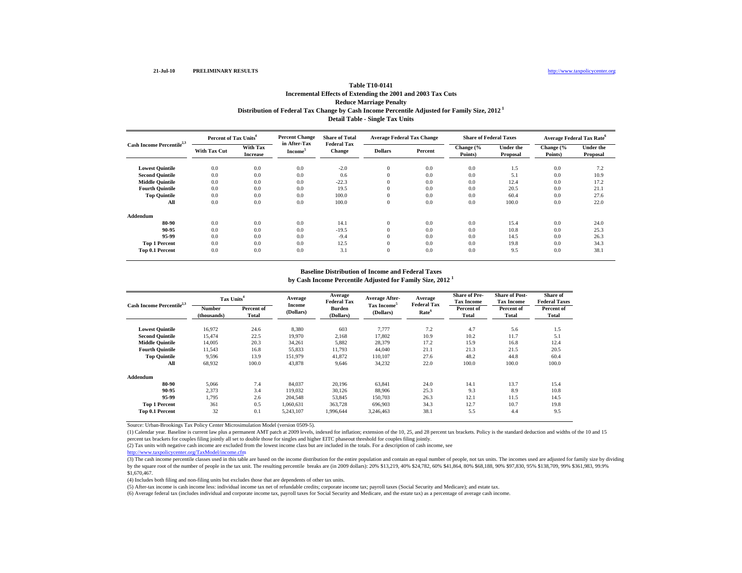# **Table T10-0141Incremental Effects of Extending the 2001 and 2003 Tax Cuts Reduce Marriage Penalty Distribution of Federal Tax Change by Cash Income Percentile Adjusted for Family Size, 2012 1 Detail Table - Single Tax Units**

| Cash Income Percentile <sup>2,3</sup> | Percent of Tax Units <sup>4</sup> |                             | <b>Percent Change</b><br>in After-Tax | <b>Share of Total</b>               | <b>Average Federal Tax Change</b> |         | <b>Share of Federal Taxes</b> |                              | Average Federal Tax Rate <sup>6</sup> |                              |
|---------------------------------------|-----------------------------------|-----------------------------|---------------------------------------|-------------------------------------|-----------------------------------|---------|-------------------------------|------------------------------|---------------------------------------|------------------------------|
|                                       | <b>With Tax Cut</b>               | With Tax<br><b>Increase</b> | Income <sup>3</sup>                   | <b>Federal Tax</b><br><b>Change</b> | <b>Dollars</b>                    | Percent | Change (%<br>Points)          | <b>Under the</b><br>Proposal | Change (%<br>Points)                  | <b>Under the</b><br>Proposal |
| <b>Lowest Quintile</b>                | 0.0                               | 0.0                         | 0.0                                   | $-2.0$                              | $\mathbf{0}$                      | 0.0     | 0.0                           | 1.5                          | 0.0                                   | 7.2                          |
| <b>Second Quintile</b>                | 0.0                               | 0.0                         | 0.0                                   | 0.6                                 | $\overline{0}$                    | 0.0     | 0.0                           | 5.1                          | 0.0                                   | 10.9                         |
| <b>Middle Quintile</b>                | 0.0                               | 0.0                         | 0.0                                   | $-22.3$                             | $\overline{0}$                    | 0.0     | 0.0                           | 12.4                         | 0.0                                   | 17.2                         |
| <b>Fourth Quintile</b>                | 0.0                               | 0.0                         | 0.0                                   | 19.5                                | $\overline{0}$                    | 0.0     | 0.0                           | 20.5                         | 0.0                                   | 21.1                         |
| <b>Top Quintile</b>                   | 0.0                               | 0.0                         | 0.0                                   | 100.0                               | $\theta$                          | 0.0     | 0.0                           | 60.4                         | 0.0                                   | 27.6                         |
| All                                   | 0.0                               | 0.0                         | 0.0                                   | 100.0                               | $\overline{0}$                    | 0.0     | 0.0                           | 100.0                        | 0.0                                   | 22.0                         |
| Addendum                              |                                   |                             |                                       |                                     |                                   |         |                               |                              |                                       |                              |
| 80-90                                 | 0.0                               | 0.0                         | 0.0                                   | 14.1                                | $\mathbf{0}$                      | 0.0     | 0.0                           | 15.4                         | 0.0                                   | 24.0                         |
| 90-95                                 | 0.0                               | 0.0                         | 0.0                                   | $-19.5$                             | $\theta$                          | 0.0     | 0.0                           | 10.8                         | 0.0                                   | 25.3                         |
| 95-99                                 | 0.0                               | 0.0                         | 0.0                                   | $-9.4$                              | $\theta$                          | 0.0     | 0.0                           | 14.5                         | 0.0                                   | 26.3                         |
| <b>Top 1 Percent</b>                  | 0.0                               | 0.0                         | 0.0                                   | 12.5                                | $\theta$                          | 0.0     | 0.0                           | 19.8                         | 0.0                                   | 34.3                         |
| Top 0.1 Percent                       | 0.0                               | 0.0                         | 0.0                                   | 3.1                                 | $\theta$                          | 0.0     | 0.0                           | 9.5                          | 0.0                                   | 38.1                         |

#### **Baseline Distribution of Income and Federal Taxes**

**by Cash Income Percentile Adjusted for Family Size, 2012 <sup>1</sup>**

| Cash Income Percentile <sup>2,3</sup> | Tax Units <sup>4</sup> |                     | Average             | Average<br><b>Federal Tax</b> | Average After-                       | Average                                 | <b>Share of Pre-</b><br><b>Tax Income</b> | <b>Share of Post-</b><br><b>Tax Income</b> | Share of<br><b>Federal Taxes</b> |
|---------------------------------------|------------------------|---------------------|---------------------|-------------------------------|--------------------------------------|-----------------------------------------|-------------------------------------------|--------------------------------------------|----------------------------------|
|                                       | Number<br>(thousands)  | Percent of<br>Total | Income<br>(Dollars) | Burden<br>(Dollars)           | Tax Income <sup>5</sup><br>(Dollars) | <b>Federal Tax</b><br>Rate <sup>6</sup> | Percent of<br><b>Total</b>                | Percent of<br>Total                        | Percent of<br>Total              |
| <b>Lowest Quintile</b>                | 16.972                 | 24.6                | 8,380               | 603                           | 7.777                                | 7.2                                     | 4.7                                       | 5.6                                        | 1.5                              |
| <b>Second Quintile</b>                | 15,474                 | 22.5                | 19,970              | 2,168                         | 17,802                               | 10.9                                    | 10.2                                      | 11.7                                       | 5.1                              |
| <b>Middle Quintile</b>                | 14,005                 | 20.3                | 34,261              | 5,882                         | 28.379                               | 17.2                                    | 15.9                                      | 16.8                                       | 12.4                             |
| <b>Fourth Quintile</b>                | 11,543                 | 16.8                | 55,833              | 11,793                        | 44,040                               | 21.1                                    | 21.3                                      | 21.5                                       | 20.5                             |
| <b>Top Quintile</b>                   | 9,596                  | 13.9                | 151,979             | 41,872                        | 110.107                              | 27.6                                    | 48.2                                      | 44.8                                       | 60.4                             |
| All                                   | 68,932                 | 100.0               | 43,878              | 9.646                         | 34,232                               | 22.0                                    | 100.0                                     | 100.0                                      | 100.0                            |
| Addendum                              |                        |                     |                     |                               |                                      |                                         |                                           |                                            |                                  |
| 80-90                                 | 5.066                  | 7.4                 | 84,037              | 20,196                        | 63,841                               | 24.0                                    | 14.1                                      | 13.7                                       | 15.4                             |
| 90-95                                 | 2,373                  | 3.4                 | 119,032             | 30,126                        | 88,906                               | 25.3                                    | 9.3                                       | 8.9                                        | 10.8                             |
| 95-99                                 | 1,795                  | 2.6                 | 204,548             | 53,845                        | 150,703                              | 26.3                                    | 12.1                                      | 11.5                                       | 14.5                             |
| <b>Top 1 Percent</b>                  | 361                    | 0.5                 | 1,060,631           | 363,728                       | 696,903                              | 34.3                                    | 12.7                                      | 10.7                                       | 19.8                             |
| Top 0.1 Percent                       | 32                     | 0.1                 | 5,243,107           | 1.996.644                     | 3.246.463                            | 38.1                                    | 5.5                                       | 4.4                                        | 9.5                              |

Source: Urban-Brookings Tax Policy Center Microsimulation Model (version 0509-5).

(1) Calendar year. Baseline is current law plus a permanent AMT patch at 2009 levels, indexed for inflation; extension of the 10, 25, and 28 percent tax brackets. Policy is the standard deduction and widths of the 10 and 15 percent tax brackets for couples filing jointly all set to double those for singles and higher EITC phaseout threshold for couples filing jointly.

(2) Tax units with negative cash income are excluded from the lowest income class but are included in the totals. For a description of cash income, see

http://www.taxpolicycenter.org/TaxModel/income.cfm

(3) The cash income percentile classes used in this table are based on the income distribution for the entire population and contain an equal number of people, not tax units. The incomes used are adjusted for family size b by the square root of the number of people in the tax unit. The resulting percentile breaks are (in 2009 dollars): 20% \$13,219, 40% \$24,782, 60% \$41,864, 80% \$68,188, 90% \$97,830, 95% \$138,709, 99% \$361,983, 99.9% \$1,670,467.

(4) Includes both filing and non-filing units but excludes those that are dependents of other tax units.

(5) After-tax income is cash income less: individual income tax net of refundable credits; corporate income tax; payroll taxes (Social Security and Medicare); and estate tax.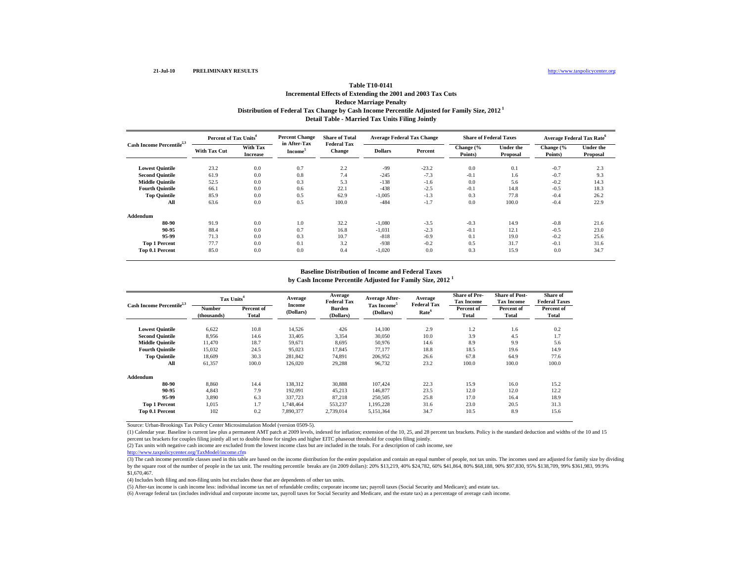# **Table T10-0141Incremental Effects of Extending the 2001 and 2003 Tax Cuts Reduce Marriage Penalty Distribution of Federal Tax Change by Cash Income Percentile Adjusted for Family Size, 2012 1 Detail Table - Married Tax Units Filing Jointly**

| Cash Income Percentile <sup>2,3</sup> | Percent of Tax Units <sup>4</sup> |                             | <b>Percent Change</b>               | <b>Share of Total</b>               | <b>Average Federal Tax Change</b> |         | <b>Share of Federal Taxes</b> |                              | <b>Average Federal Tax Rate</b> <sup>6</sup> |                              |
|---------------------------------------|-----------------------------------|-----------------------------|-------------------------------------|-------------------------------------|-----------------------------------|---------|-------------------------------|------------------------------|----------------------------------------------|------------------------------|
|                                       | <b>With Tax Cut</b>               | With Tax<br><b>Increase</b> | in After-Tax<br>Income <sup>3</sup> | <b>Federal Tax</b><br><b>Change</b> | <b>Dollars</b>                    | Percent | Change (%<br>Points)          | <b>Under the</b><br>Proposal | Change (%<br>Points)                         | <b>Under the</b><br>Proposal |
| <b>Lowest Quintile</b>                | 23.2                              | 0.0                         | 0.7                                 | 2.2                                 | -99                               | $-23.2$ | 0.0                           | 0.1                          | $-0.7$                                       | 2.3                          |
| <b>Second Quintile</b>                | 61.9                              | 0.0                         | 0.8                                 | 7.4                                 | $-245$                            | $-7.3$  | $-0.1$                        | 1.6                          | $-0.7$                                       | 9.3                          |
| <b>Middle Quintile</b>                | 52.5                              | 0.0                         | 0.3                                 | 5.3                                 | $-138$                            | $-1.6$  | 0.0                           | 5.6                          | $-0.2$                                       | 14.3                         |
| <b>Fourth Quintile</b>                | 66.1                              | 0.0                         | 0.6                                 | 22.1                                | $-438$                            | $-2.5$  | $-0.1$                        | 14.8                         | $-0.5$                                       | 18.3                         |
| <b>Top Quintile</b>                   | 85.9                              | 0.0                         | 0.5                                 | 62.9                                | $-1,005$                          | $-1.3$  | 0.3                           | 77.8                         | $-0.4$                                       | 26.2                         |
| All                                   | 63.6                              | 0.0                         | 0.5                                 | 100.0                               | $-484$                            | $-1.7$  | 0.0                           | 100.0                        | $-0.4$                                       | 22.9                         |
| Addendum                              |                                   |                             |                                     |                                     |                                   |         |                               |                              |                                              |                              |
| 80-90                                 | 91.9                              | 0.0                         | 1.0                                 | 32.2                                | $-1,080$                          | $-3.5$  | $-0.3$                        | 14.9                         | $-0.8$                                       | 21.6                         |
| 90-95                                 | 88.4                              | 0.0                         | 0.7                                 | 16.8                                | $-1,031$                          | $-2.3$  | $-0.1$                        | 12.1                         | $-0.5$                                       | 23.0                         |
| 95-99                                 | 71.3                              | 0.0                         | 0.3                                 | 10.7                                | $-818$                            | $-0.9$  | 0.1                           | 19.0                         | $-0.2$                                       | 25.6                         |
| <b>Top 1 Percent</b>                  | 77.7                              | 0.0                         | 0.1                                 | 3.2                                 | $-938$                            | $-0.2$  | 0.5                           | 31.7                         | $-0.1$                                       | 31.6                         |
| Top 0.1 Percent                       | 85.0                              | 0.0                         | 0.0                                 | 0.4                                 | $-1,020$                          | 0.0     | 0.3                           | 15.9                         | 0.0                                          | 34.7                         |

#### **Baseline Distribution of Income and Federal Taxes**

**by Cash Income Percentile Adjusted for Family Size, 2012 <sup>1</sup>**

| Cash Income Percentile <sup>2,3</sup> |                       | Tax Units <sup>4</sup> |                     | Average<br><b>Federal Tax</b> | Average After-                       | Average<br><b>Federal Tax</b> | <b>Share of Pre-</b><br><b>Tax Income</b> | <b>Share of Post-</b><br><b>Tax Income</b> | Share of<br><b>Federal Taxes</b> |
|---------------------------------------|-----------------------|------------------------|---------------------|-------------------------------|--------------------------------------|-------------------------------|-------------------------------------------|--------------------------------------------|----------------------------------|
|                                       | Number<br>(thousands) | Percent of<br>Total    | Income<br>(Dollars) | Burden<br>(Dollars)           | Tax Income <sup>5</sup><br>(Dollars) | Rate <sup>6</sup>             | Percent of<br><b>Total</b>                | Percent of<br>Total                        | Percent of<br>Total              |
| <b>Lowest Quintile</b>                | 6.622                 | 10.8                   | 14.526              | 426                           | 14.100                               | 2.9                           | 1.2                                       | 1.6                                        | 0.2                              |
| <b>Second Quintile</b>                | 8,956                 | 14.6                   | 33,405              | 3,354                         | 30,050                               | 10.0                          | 3.9                                       | 4.5                                        | 1.7                              |
| <b>Middle Quintile</b>                | 11.470                | 18.7                   | 59.671              | 8,695                         | 50,976                               | 14.6                          | 8.9                                       | 9.9                                        | 5.6                              |
| <b>Fourth Quintile</b>                | 15,032                | 24.5                   | 95,023              | 17.845                        | 77,177                               | 18.8                          | 18.5                                      | 19.6                                       | 14.9                             |
| <b>Top Quintile</b>                   | 18.609                | 30.3                   | 281,842             | 74.891                        | 206,952                              | 26.6                          | 67.8                                      | 64.9                                       | 77.6                             |
| All                                   | 61,357                | 100.0                  | 126,020             | 29,288                        | 96,732                               | 23.2                          | 100.0                                     | 100.0                                      | 100.0                            |
| Addendum                              |                       |                        |                     |                               |                                      |                               |                                           |                                            |                                  |
| 80-90                                 | 8.860                 | 14.4                   | 138,312             | 30,888                        | 107.424                              | 22.3                          | 15.9                                      | 16.0                                       | 15.2                             |
| 90-95                                 | 4,843                 | 7.9                    | 192,091             | 45,213                        | 146,877                              | 23.5                          | 12.0                                      | 12.0                                       | 12.2                             |
| 95-99                                 | 3,890                 | 6.3                    | 337,723             | 87,218                        | 250,505                              | 25.8                          | 17.0                                      | 16.4                                       | 18.9                             |
| <b>Top 1 Percent</b>                  | 1,015                 | 1.7                    | 1,748,464           | 553,237                       | 1,195,228                            | 31.6                          | 23.0                                      | 20.5                                       | 31.3                             |
| Top 0.1 Percent                       | 102                   | 0.2                    | 7,890,377           | 2,739,014                     | 5,151,364                            | 34.7                          | 10.5                                      | 8.9                                        | 15.6                             |

Source: Urban-Brookings Tax Policy Center Microsimulation Model (version 0509-5).

(1) Calendar year. Baseline is current law plus a permanent AMT patch at 2009 levels, indexed for inflation; extension of the 10, 25, and 28 percent tax brackets. Policy is the standard deduction and widths of the 10 and 15 percent tax brackets for couples filing jointly all set to double those for singles and higher EITC phaseout threshold for couples filing jointly.

(2) Tax units with negative cash income are excluded from the lowest income class but are included in the totals. For a description of cash income, see

http://www.taxpolicycenter.org/TaxModel/income.cfm

(3) The cash income percentile classes used in this table are based on the income distribution for the entire population and contain an equal number of people, not tax units. The incomes used are adjusted for family size b by the square root of the number of people in the tax unit. The resulting percentile breaks are (in 2009 dollars): 20% \$13,219, 40% \$24,782, 60% \$41,864, 80% \$68,188, 90% \$97,830, 95% \$138,709, 99% \$361,983, 99.9% \$1,670,467.

(4) Includes both filing and non-filing units but excludes those that are dependents of other tax units.

(5) After-tax income is cash income less: individual income tax net of refundable credits; corporate income tax; payroll taxes (Social Security and Medicare); and estate tax.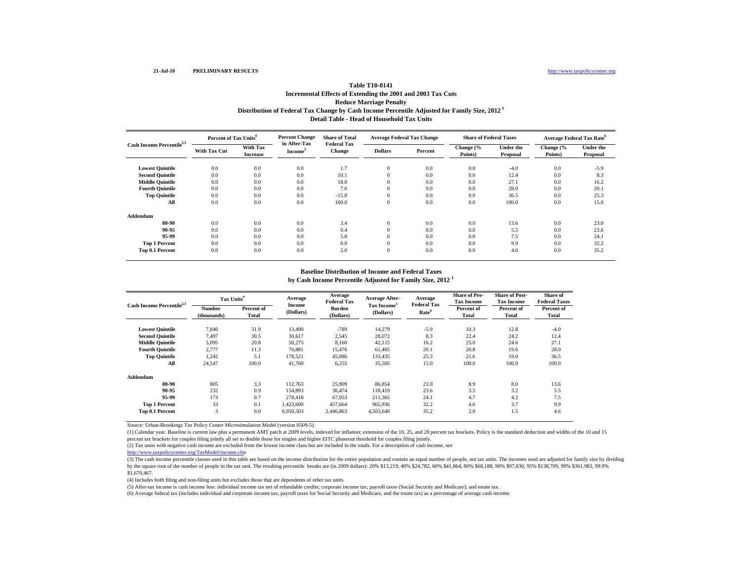# **Table T10-0141Incremental Effects of Extending the 2001 and 2003 Tax Cuts Reduce Marriage Penalty Distribution of Federal Tax Change by Cash Income Percentile Adjusted for Family Size, 2012 1 Detail Table - Head of Household Tax Units**

| Cash Income Percentile <sup>2,3</sup> | Percent of Tax Units <sup>4</sup> |                             | <b>Percent Change</b>               | <b>Share of Total</b>               | <b>Average Federal Tax Change</b> |         | <b>Share of Federal Taxes</b> |                              |                      | <b>Average Federal Tax Rate</b> <sup>6</sup> |
|---------------------------------------|-----------------------------------|-----------------------------|-------------------------------------|-------------------------------------|-----------------------------------|---------|-------------------------------|------------------------------|----------------------|----------------------------------------------|
|                                       | <b>With Tax Cut</b>               | With Tax<br><b>Increase</b> | in After-Tax<br>Income <sup>3</sup> | <b>Federal Tax</b><br><b>Change</b> | <b>Dollars</b>                    | Percent | Change (%<br>Points)          | <b>Under the</b><br>Proposal | Change (%<br>Points) | <b>Under the</b><br>Proposal                 |
| <b>Lowest Quintile</b>                | 0.0                               | 0.0                         | 0.0                                 | 1.7                                 | $\mathbf{0}$                      | 0.0     | 0.0                           | $-4.0$                       | 0.0                  | $-5.9$                                       |
| <b>Second Quintile</b>                | 0.0                               | 0.0                         | 0.0                                 | 10.1                                | $\mathbf{0}$                      | 0.0     | 0.0                           | 12.4                         | 0.0                  | 8.3                                          |
| <b>Middle Quintile</b>                | 0.0                               | 0.0                         | 0.0                                 | 18.0                                | $\mathbf{0}$                      | 0.0     | 0.0                           | 27.1                         | 0.0                  | 16.2                                         |
| <b>Fourth Quintile</b>                | 0.0                               | 0.0                         | 0.0                                 | 7.6                                 | $\mathbf{0}$                      | 0.0     | 0.0                           | 28.0                         | 0.0                  | 20.1                                         |
| <b>Top Quintile</b>                   | 0.0                               | 0.0                         | 0.0                                 | $-15.8$                             | $\Omega$                          | 0.0     | 0.0                           | 36.5                         | 0.0                  | 25.3                                         |
| All                                   | 0.0                               | 0.0                         | 0.0                                 | 100.0                               | $\theta$                          | 0.0     | 0.0                           | 100.0                        | 0.0                  | 15.0                                         |
| Addendum                              |                                   |                             |                                     |                                     |                                   |         |                               |                              |                      |                                              |
| 80-90                                 | 0.0                               | 0.0                         | 0.0                                 | 3.4                                 | $\mathbf{0}$                      | 0.0     | 0.0                           | 13.6                         | 0.0                  | 23.0                                         |
| 90-95                                 | 0.0                               | 0.0                         | 0.0                                 | 0.4                                 | $\mathbf{0}$                      | 0.0     | 0.0                           | 5.5                          | 0.0                  | 23.6                                         |
| 95-99                                 | 0.0                               | 0.0                         | 0.0                                 | 5.8                                 | $\mathbf{0}$                      | 0.0     | 0.0                           | 7.5                          | 0.0                  | 24.1                                         |
| <b>Top 1 Percent</b>                  | 0.0                               | 0.0                         | 0.0                                 | 0.0                                 | $\Omega$                          | 0.0     | 0.0                           | 9.9                          | 0.0                  | 32.2                                         |
| Top 0.1 Percent                       | 0.0                               | 0.0                         | 0.0                                 | 2.0                                 | $\theta$                          | 0.0     | 0.0                           | 4.6                          | 0.0                  | 35.2                                         |

#### **Baseline Distribution of Income and Federal Taxes**

**by Cash Income Percentile Adjusted for Family Size, 2012 <sup>1</sup>**

| Cash Income Percentile <sup>2,3</sup> |                       | Tax Units <sup>4</sup> |                     | Average<br><b>Federal Tax</b> | <b>Average After-</b>                | Average<br><b>Federal Tax</b> | <b>Share of Pre-</b><br><b>Tax Income</b> | <b>Share of Post-</b><br><b>Tax Income</b> | Share of<br><b>Federal Taxes</b> |
|---------------------------------------|-----------------------|------------------------|---------------------|-------------------------------|--------------------------------------|-------------------------------|-------------------------------------------|--------------------------------------------|----------------------------------|
|                                       | Number<br>(thousands) | Percent of<br>Total    | Income<br>(Dollars) | Burden<br>(Dollars)           | Tax Income <sup>5</sup><br>(Dollars) | Rate <sup>6</sup>             | Percent of<br><b>Total</b>                | Percent of<br>Total                        | Percent of<br>Total              |
| <b>Lowest Quintile</b>                | 7.840                 | 31.9                   | 13.490              | $-789$                        | 14.279                               | $-5.9$                        | 10.3                                      | 12.8                                       | $-4.0$                           |
| <b>Second Quintile</b>                | 7,497                 | 30.5                   | 30,617              | 2,545                         | 28,072                               | 8.3                           | 22.4                                      | 24.2                                       | 12.4                             |
| <b>Middle Quintile</b>                | 5,095                 | 20.8                   | 50,275              | 8.160                         | 42.115                               | 16.2                          | 25.0                                      | 24.6                                       | 27.1                             |
| <b>Fourth Quintile</b>                | 2.777                 | 11.3                   | 76,881              | 15.476                        | 61.405                               | 20.1                          | 20.8                                      | 19.6                                       | 28.0                             |
| <b>Top Quintile</b>                   | 1,242                 | 5.1                    | 178,521             | 45.086                        | 133.435                              | 25.3                          | 21.6                                      | 19.0                                       | 36.5                             |
| All                                   | 24,547                | 100.0                  | 41,760              | 6,255                         | 35,505                               | 15.0                          | 100.0                                     | 100.0                                      | 100.0                            |
| Addendum                              |                       |                        |                     |                               |                                      |                               |                                           |                                            |                                  |
| 80-90                                 | 805                   | 3.3                    | 112.763             | 25,909                        | 86,854                               | 23.0                          | 8.9                                       | 8.0                                        | 13.6                             |
| 90-95                                 | 232                   | 0.9                    | 154,893             | 36,474                        | 118,419                              | 23.6                          | 3.5                                       | 3.2                                        | 5.5                              |
| 95-99                                 | 173                   | 0.7                    | 278,418             | 67,053                        | 211,365                              | 24.1                          | 4.7                                       | 4.2                                        | 7.5                              |
| <b>Top 1 Percent</b>                  | 33                    | 0.1                    | 1,423,600           | 457,664                       | 965,936                              | 32.2                          | 4.6                                       | 3.7                                        | 9.9                              |
| Top 0.1 Percent                       | 3                     | 0.0                    | 6,950,503           | 2,446,863                     | 4,503,640                            | 35.2                          | 2.0                                       | 1.5                                        | 4.6                              |

Source: Urban-Brookings Tax Policy Center Microsimulation Model (version 0509-5).

(1) Calendar year. Baseline is current law plus a permanent AMT patch at 2009 levels, indexed for inflation; extension of the 10, 25, and 28 percent tax brackets. Policy is the standard deduction and widths of the 10 and 15 percent tax brackets for couples filing jointly all set to double those for singles and higher EITC phaseout threshold for couples filing jointly.

(2) Tax units with negative cash income are excluded from the lowest income class but are included in the totals. For a description of cash income, see

http://www.taxpolicycenter.org/TaxModel/income.cfm

(3) The cash income percentile classes used in this table are based on the income distribution for the entire population and contain an equal number of people, not tax units. The incomes used are adjusted for family size b by the square root of the number of people in the tax unit. The resulting percentile breaks are (in 2009 dollars): 20% \$13,219, 40% \$24,782, 60% \$41,864, 80% \$68,188, 90% \$97,830, 95% \$138,709, 99% \$361,983, 99.9% \$1,670,467.

(4) Includes both filing and non-filing units but excludes those that are dependents of other tax units.

(5) After-tax income is cash income less: individual income tax net of refundable credits; corporate income tax; payroll taxes (Social Security and Medicare); and estate tax.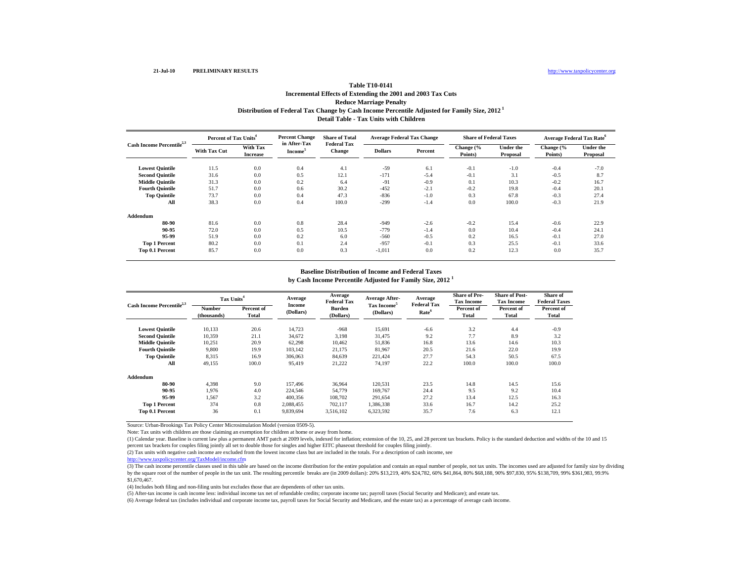# **Table T10-0141Incremental Effects of Extending the 2001 and 2003 Tax Cuts Reduce Marriage Penalty Distribution of Federal Tax Change by Cash Income Percentile Adjusted for Family Size, 2012 1 Detail Table - Tax Units with Children**

| Cash Income Percentile <sup>2,3</sup> | Percent of Tax Units <sup>4</sup> |                             | <b>Percent Change</b>               | <b>Share of Total</b>               | <b>Average Federal Tax Change</b> |         | <b>Share of Federal Taxes</b> |                              | <b>Average Federal Tax Rate</b> <sup>6</sup> |                              |
|---------------------------------------|-----------------------------------|-----------------------------|-------------------------------------|-------------------------------------|-----------------------------------|---------|-------------------------------|------------------------------|----------------------------------------------|------------------------------|
|                                       | <b>With Tax Cut</b>               | With Tax<br><b>Increase</b> | in After-Tax<br>Income <sup>3</sup> | <b>Federal Tax</b><br><b>Change</b> | <b>Dollars</b>                    | Percent | Change (%<br>Points)          | <b>Under the</b><br>Proposal | Change (%<br>Points)                         | <b>Under the</b><br>Proposal |
| <b>Lowest Quintile</b>                | 11.5                              | 0.0                         | 0.4                                 | 4.1                                 | $-59$                             | 6.1     | $-0.1$                        | $-1.0$                       | $-0.4$                                       | $-7.0$                       |
| <b>Second Quintile</b>                | 31.6                              | 0.0                         | 0.5                                 | 12.1                                | $-171$                            | $-5.4$  | $-0.1$                        | 3.1                          | $-0.5$                                       | 8.7                          |
| <b>Middle Ouintile</b>                | 31.3                              | 0.0                         | 0.2                                 | 6.4                                 | $-91$                             | $-0.9$  | 0.1                           | 10.3                         | $-0.2$                                       | 16.7                         |
| <b>Fourth Quintile</b>                | 51.7                              | 0.0                         | 0.6                                 | 30.2                                | $-452$                            | $-2.1$  | $-0.2$                        | 19.8                         | $-0.4$                                       | 20.1                         |
| <b>Top Quintile</b>                   | 73.7                              | 0.0                         | 0.4                                 | 47.3                                | $-836$                            | $-1.0$  | 0.3                           | 67.8                         | $-0.3$                                       | 27.4                         |
| All                                   | 38.3                              | 0.0                         | 0.4                                 | 100.0                               | $-299$                            | $-1.4$  | 0.0                           | 100.0                        | $-0.3$                                       | 21.9                         |
| Addendum                              |                                   |                             |                                     |                                     |                                   |         |                               |                              |                                              |                              |
| 80-90                                 | 81.6                              | 0.0                         | 0.8                                 | 28.4                                | $-949$                            | $-2.6$  | $-0.2$                        | 15.4                         | $-0.6$                                       | 22.9                         |
| 90-95                                 | 72.0                              | 0.0                         | 0.5                                 | 10.5                                | $-779$                            | $-1.4$  | 0.0                           | 10.4                         | $-0.4$                                       | 24.1                         |
| 95-99                                 | 51.9                              | 0.0                         | 0.2                                 | 6.0                                 | $-560$                            | $-0.5$  | 0.2                           | 16.5                         | $-0.1$                                       | 27.0                         |
| <b>Top 1 Percent</b>                  | 80.2                              | 0.0                         | 0.1                                 | 2.4                                 | $-957$                            | $-0.1$  | 0.3                           | 25.5                         | $-0.1$                                       | 33.6                         |
| Top 0.1 Percent                       | 85.7                              | 0.0                         | 0.0                                 | 0.3                                 | $-1.011$                          | 0.0     | 0.2                           | 12.3                         | 0.0                                          | 35.7                         |

#### **Baseline Distribution of Income and Federal Taxes**

**by Cash Income Percentile Adjusted for Family Size, 2012 <sup>1</sup>**

| Cash Income Percentile <sup>2,3</sup> | Tax Units <sup>4</sup> |                     | Average             | Average<br><b>Federal Tax</b> | Average After-                       | Average                                 | <b>Share of Pre-</b><br><b>Tax Income</b> | <b>Share of Post-</b><br><b>Tax Income</b> | Share of<br><b>Federal Taxes</b> |
|---------------------------------------|------------------------|---------------------|---------------------|-------------------------------|--------------------------------------|-----------------------------------------|-------------------------------------------|--------------------------------------------|----------------------------------|
|                                       | Number<br>(thousands)  | Percent of<br>Total | Income<br>(Dollars) | Burden<br>(Dollars)           | Tax Income <sup>5</sup><br>(Dollars) | <b>Federal Tax</b><br>Rate <sup>6</sup> | Percent of<br>Total                       | Percent of<br>Total                        | Percent of<br>Total              |
| <b>Lowest Quintile</b>                | 10,133                 | 20.6                | 14,723              | $-968$                        | 15,691                               | $-6.6$                                  | 3.2                                       | 4.4                                        | $-0.9$                           |
| <b>Second Quintile</b>                | 10,359                 | 21.1                | 34,672              | 3,198                         | 31,475                               | 9.2                                     | 7.7                                       | 8.9                                        | 3.2                              |
| <b>Middle Quintile</b>                | 10,251                 | 20.9                | 62,298              | 10,462                        | 51,836                               | 16.8                                    | 13.6                                      | 14.6                                       | 10.3                             |
| <b>Fourth Ouintile</b>                | 9,800                  | 19.9                | 103,142             | 21,175                        | 81,967                               | 20.5                                    | 21.6                                      | 22.0                                       | 19.9                             |
| <b>Top Quintile</b>                   | 8.315                  | 16.9                | 306,063             | 84.639                        | 221.424                              | 27.7                                    | 54.3                                      | 50.5                                       | 67.5                             |
| All                                   | 49,155                 | 100.0               | 95,419              | 21,222                        | 74,197                               | 22.2                                    | 100.0                                     | 100.0                                      | 100.0                            |
| Addendum                              |                        |                     |                     |                               |                                      |                                         |                                           |                                            |                                  |
| 80-90                                 | 4.398                  | 9.0                 | 157.496             | 36.964                        | 120.531                              | 23.5                                    | 14.8                                      | 14.5                                       | 15.6                             |
| 90-95                                 | 1.976                  | 4.0                 | 224,546             | 54,779                        | 169,767                              | 24.4                                    | 9.5                                       | 9.2                                        | 10.4                             |
| 95-99                                 | 1.567                  | 3.2                 | 400,356             | 108.702                       | 291.654                              | 27.2                                    | 13.4                                      | 12.5                                       | 16.3                             |
| <b>Top 1 Percent</b>                  | 374                    | 0.8                 | 2,088,455           | 702,117                       | 1,386,338                            | 33.6                                    | 16.7                                      | 14.2                                       | 25.2                             |
| Top 0.1 Percent                       | 36                     | 0.1                 | 9,839,694           | 3,516,102                     | 6,323,592                            | 35.7                                    | 7.6                                       | 6.3                                        | 12.1                             |

Source: Urban-Brookings Tax Policy Center Microsimulation Model (version 0509-5).

Note: Tax units with children are those claiming an exemption for children at home or away from home.

(1) Calendar year. Baseline is current law plus a permanent AMT patch at 2009 levels, indexed for inflation; extension of the 10, 25, and 28 percent tax brackets. Policy is the standard deduction and widths of the 10 and 15 percent tax brackets for couples filing jointly all set to double those for singles and higher EITC phaseout threshold for couples filing jointly.

(2) Tax units with negative cash income are excluded from the lowest income class but are included in the totals. For a description of cash income, see

http://www.taxpolicycenter.org/TaxModel/income.cfm

(3) The cash income percentile classes used in this table are based on the income distribution for the entire population and contain an equal number of people, not tax units. The incomes used are adjusted for family size b by the square root of the number of people in the tax unit. The resulting percentile breaks are (in 2009 dollars): 20% \$13,219, 40% \$24,782, 60% \$41,864, 80% \$68,188, 90% \$97,830, 95% \$138,709, 99% \$361,983, 99.9% \$1,670,467.

(4) Includes both filing and non-filing units but excludes those that are dependents of other tax units.

(5) After-tax income is cash income less: individual income tax net of refundable credits; corporate income tax; payroll taxes (Social Security and Medicare); and estate tax.